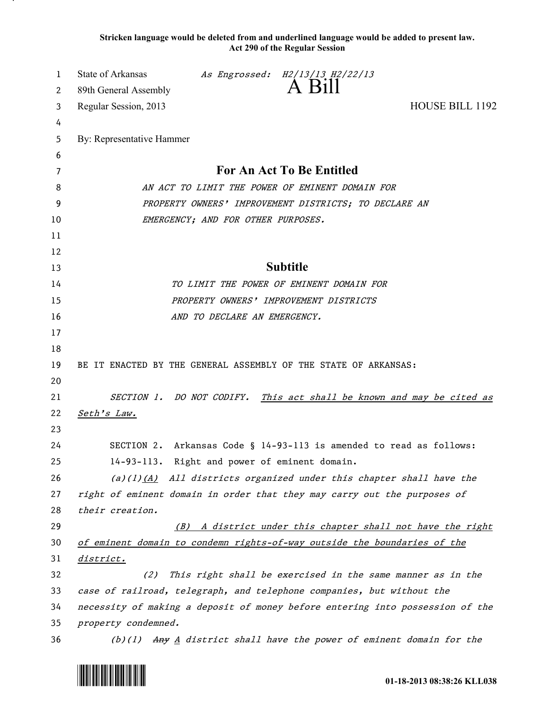**Stricken language would be deleted from and underlined language would be added to present law. Act 290 of the Regular Session**

| 1      | State of Arkansas                                                             |                              | As Engrossed: H2/13/13 H2/22/13<br>A Bill                              |                                                                        |
|--------|-------------------------------------------------------------------------------|------------------------------|------------------------------------------------------------------------|------------------------------------------------------------------------|
| 2      | 89th General Assembly                                                         |                              |                                                                        |                                                                        |
| 3      | Regular Session, 2013                                                         |                              |                                                                        | <b>HOUSE BILL 1192</b>                                                 |
| 4<br>5 | By: Representative Hammer                                                     |                              |                                                                        |                                                                        |
| 6      |                                                                               |                              |                                                                        |                                                                        |
| 7      |                                                                               |                              | For An Act To Be Entitled                                              |                                                                        |
| 8      | AN ACT TO LIMIT THE POWER OF EMINENT DOMAIN FOR                               |                              |                                                                        |                                                                        |
| 9      | PROPERTY OWNERS' IMPROVEMENT DISTRICTS; TO DECLARE AN                         |                              |                                                                        |                                                                        |
| 10     | EMERGENCY; AND FOR OTHER PURPOSES.                                            |                              |                                                                        |                                                                        |
| 11     |                                                                               |                              |                                                                        |                                                                        |
| 12     |                                                                               |                              |                                                                        |                                                                        |
| 13     |                                                                               |                              | <b>Subtitle</b>                                                        |                                                                        |
| 14     | TO LIMIT THE POWER OF EMINENT DOMAIN FOR                                      |                              |                                                                        |                                                                        |
| 15     |                                                                               |                              | PROPERTY OWNERS' IMPROVEMENT DISTRICTS                                 |                                                                        |
| 16     |                                                                               | AND TO DECLARE AN EMERGENCY. |                                                                        |                                                                        |
| 17     |                                                                               |                              |                                                                        |                                                                        |
| 18     |                                                                               |                              |                                                                        |                                                                        |
| 19     | BE IT ENACTED BY THE GENERAL ASSEMBLY OF THE STATE OF ARKANSAS:               |                              |                                                                        |                                                                        |
| 20     |                                                                               |                              |                                                                        |                                                                        |
| 21     |                                                                               |                              |                                                                        | SECTION 1. DO NOT CODIFY. This act shall be known and may be cited as  |
| 22     | Seth's Law.                                                                   |                              |                                                                        |                                                                        |
| 23     |                                                                               |                              |                                                                        |                                                                        |
| 24     |                                                                               |                              | SECTION 2. Arkansas Code § 14-93-113 is amended to read as follows:    |                                                                        |
| 25     | 14-93-113. Right and power of eminent domain.                                 |                              |                                                                        |                                                                        |
| 26     |                                                                               |                              | (a)(1) $(A)$ All districts organized under this chapter shall have the |                                                                        |
| 27     | right of eminent domain in order that they may carry out the purposes of      |                              |                                                                        |                                                                        |
| 28     | their creation.                                                               |                              |                                                                        |                                                                        |
| 29     | (B)                                                                           |                              |                                                                        | A district under this chapter shall not have the right                 |
| 30     | of eminent domain to condemn rights-of-way outside the boundaries of the      |                              |                                                                        |                                                                        |
| 31     | <u>district.</u>                                                              |                              |                                                                        |                                                                        |
| 32     | (2)                                                                           |                              |                                                                        | This right shall be exercised in the same manner as in the             |
| 33     | case of railroad, telegraph, and telephone companies, but without the         |                              |                                                                        |                                                                        |
| 34     | necessity of making a deposit of money before entering into possession of the |                              |                                                                        |                                                                        |
| 35     | property condemned.                                                           |                              |                                                                        |                                                                        |
| 36     |                                                                               |                              |                                                                        | $(b)(1)$ Any A district shall have the power of eminent domain for the |

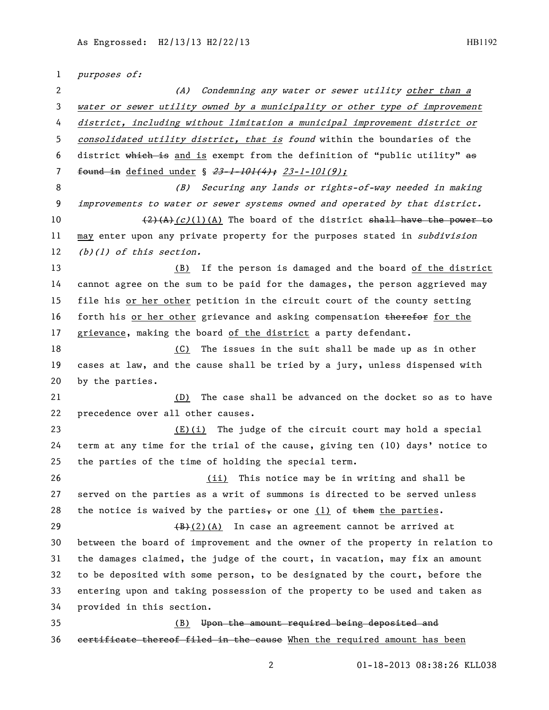purposes of: (A) Condemning any water or sewer utility other than a water or sewer utility owned by a municipality or other type of improvement district, including without limitation a municipal improvement district or 5 consolidated utility district, that is found within the boundaries of the district which is and is exempt from the definition of "public utility" as 7 found in defined under §  $23-1-101(4)$ ; 23-1-101(9); (B) Securing any lands or rights-of-way needed in making improvements to water or sewer systems owned and operated by that district.  $\left(\frac{2}{4}(A)(c)(1)(A)\right)$  The board of the district shall have the power to 11 may enter upon any private property for the purposes stated in *subdivision* 12 (b)(1) of this section. (B) If the person is damaged and the board of the district cannot agree on the sum to be paid for the damages, the person aggrieved may file his or her other petition in the circuit court of the county setting 16 forth his or her other grievance and asking compensation therefor for the grievance, making the board of the district a party defendant. (C) The issues in the suit shall be made up as in other cases at law, and the cause shall be tried by a jury, unless dispensed with by the parties. (D) The case shall be advanced on the docket so as to have precedence over all other causes. (E)(i) The judge of the circuit court may hold a special term at any time for the trial of the cause, giving ten (10) days' notice to the parties of the time of holding the special term. 26 (ii) This notice may be in writing and shall be served on the parties as a writ of summons is directed to be served unless 28 the notice is waived by the parties, or one (1) of  $t$  them the parties.  $(B)+(2)(A)$  In case an agreement cannot be arrived at between the board of improvement and the owner of the property in relation to the damages claimed, the judge of the court, in vacation, may fix an amount to be deposited with some person, to be designated by the court, before the entering upon and taking possession of the property to be used and taken as provided in this section. (B) Upon the amount required being deposited and 36 certificate thereof filed in the cause When the required amount has been

01-18-2013 08:38:26 KLL038